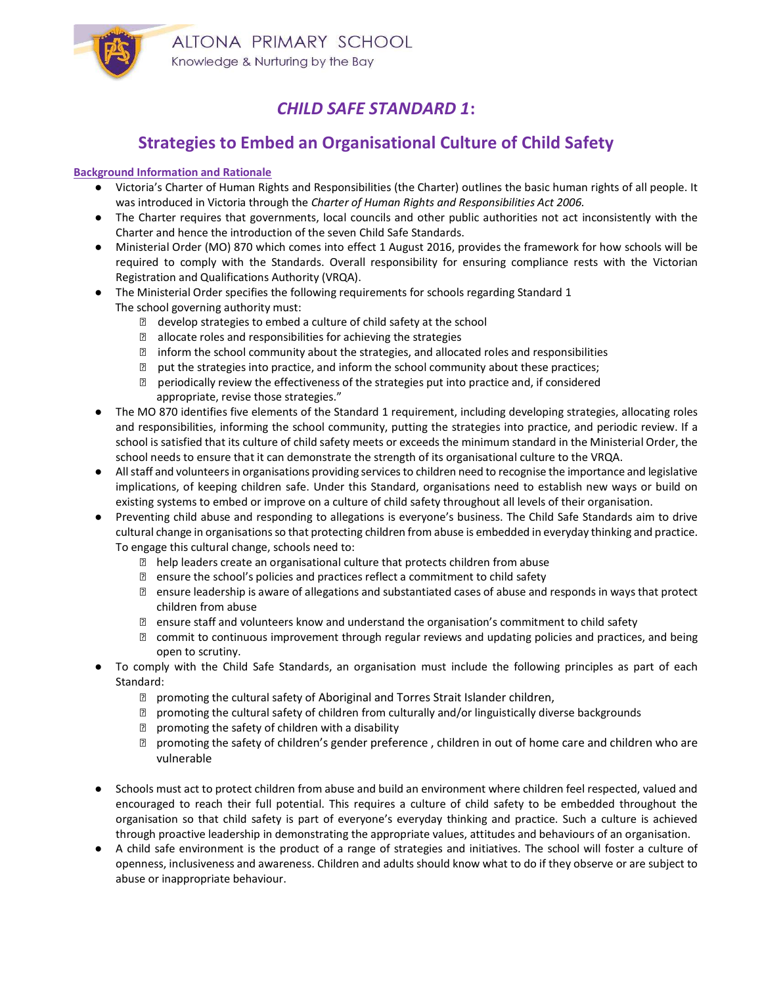

## CHILD SAFE STANDARD 1:

## Strategies to Embed an Organisational Culture of Child Safety

## Background Information and Rationale

- Victoria's Charter of Human Rights and Responsibilities (the Charter) outlines the basic human rights of all people. It was introduced in Victoria through the Charter of Human Rights and Responsibilities Act 2006.
- The Charter requires that governments, local councils and other public authorities not act inconsistently with the Charter and hence the introduction of the seven Child Safe Standards.
- Ministerial Order (MO) 870 which comes into effect 1 August 2016, provides the framework for how schools will be required to comply with the Standards. Overall responsibility for ensuring compliance rests with the Victorian Registration and Qualifications Authority (VRQA).
- The Ministerial Order specifies the following requirements for schools regarding Standard 1 The school governing authority must:
	- ⋅ develop strategies to embed a culture of child safety at the school
	- allocate roles and responsibilities for achieving the strategies
	- ⋅ inform the school community about the strategies, and allocated roles and responsibilities
	- ⋅ put the strategies into practice, and inform the school community about these practices;
	- ⋅ periodically review the effectiveness of the strategies put into practice and, if considered appropriate, revise those strategies."
- The MO 870 identifies five elements of the Standard 1 requirement, including developing strategies, allocating roles and responsibilities, informing the school community, putting the strategies into practice, and periodic review. If a school is satisfied that its culture of child safety meets or exceeds the minimum standard in the Ministerial Order, the school needs to ensure that it can demonstrate the strength of its organisational culture to the VRQA.
- All staff and volunteers in organisations providing services to children need to recognise the importance and legislative implications, of keeping children safe. Under this Standard, organisations need to establish new ways or build on existing systems to embed or improve on a culture of child safety throughout all levels of their organisation.
- Preventing child abuse and responding to allegations is everyone's business. The Child Safe Standards aim to drive cultural change in organisations so that protecting children from abuse is embedded in everyday thinking and practice. To engage this cultural change, schools need to:
	- ⋅ help leaders create an organisational culture that protects children from abuse
	- ⋅ ensure the school's policies and practices reflect a commitment to child safety
	- ⋅ ensure leadership is aware of allegations and substantiated cases of abuse and responds in ways that protect children from abuse
	- ⋅ ensure staff and volunteers know and understand the organisation's commitment to child safety
	- ⋅ commit to continuous improvement through regular reviews and updating policies and practices, and being open to scrutiny.
- To comply with the Child Safe Standards, an organisation must include the following principles as part of each Standard:
	- ⋅ promoting the cultural safety of Aboriginal and Torres Strait Islander children,
	- ⋅ promoting the cultural safety of children from culturally and/or linguistically diverse backgrounds
	- ⋅ promoting the safety of children with a disability
	- ⋅ promoting the safety of children's gender preference , children in out of home care and children who are vulnerable
- Schools must act to protect children from abuse and build an environment where children feel respected, valued and encouraged to reach their full potential. This requires a culture of child safety to be embedded throughout the organisation so that child safety is part of everyone's everyday thinking and practice. Such a culture is achieved through proactive leadership in demonstrating the appropriate values, attitudes and behaviours of an organisation.
- A child safe environment is the product of a range of strategies and initiatives. The school will foster a culture of openness, inclusiveness and awareness. Children and adults should know what to do if they observe or are subject to abuse or inappropriate behaviour.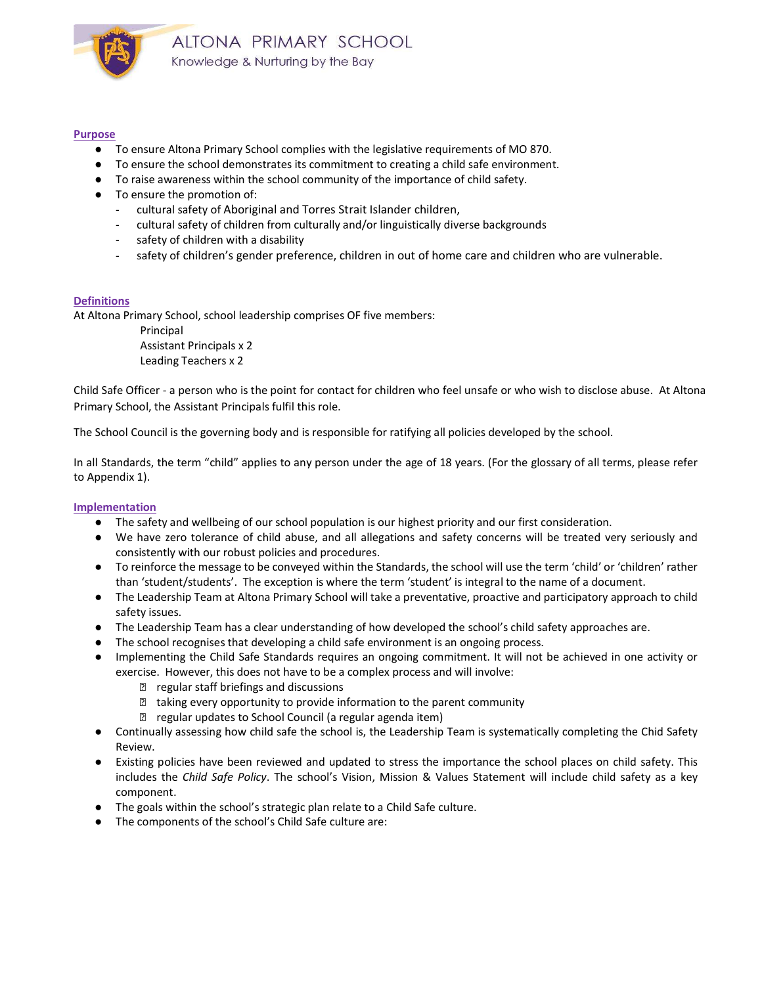

### Purpose

- To ensure Altona Primary School complies with the legislative requirements of MO 870.
- To ensure the school demonstrates its commitment to creating a child safe environment.
- To raise awareness within the school community of the importance of child safety.
- To ensure the promotion of:
	- cultural safety of Aboriginal and Torres Strait Islander children,
	- cultural safety of children from culturally and/or linguistically diverse backgrounds
	- safety of children with a disability
	- safety of children's gender preference, children in out of home care and children who are vulnerable.

## **Definitions**

At Altona Primary School, school leadership comprises OF five members:

 Principal Assistant Principals x 2 Leading Teachers x 2

Child Safe Officer - a person who is the point for contact for children who feel unsafe or who wish to disclose abuse. At Altona Primary School, the Assistant Principals fulfil this role.

The School Council is the governing body and is responsible for ratifying all policies developed by the school.

In all Standards, the term "child" applies to any person under the age of 18 years. (For the glossary of all terms, please refer to Appendix 1).

#### **Implementation**

- The safety and wellbeing of our school population is our highest priority and our first consideration.
- We have zero tolerance of child abuse, and all allegations and safety concerns will be treated very seriously and consistently with our robust policies and procedures.
- To reinforce the message to be conveyed within the Standards, the school will use the term 'child' or 'children' rather than 'student/students'. The exception is where the term 'student' is integral to the name of a document.
- The Leadership Team at Altona Primary School will take a preventative, proactive and participatory approach to child safety issues.
- The Leadership Team has a clear understanding of how developed the school's child safety approaches are.
- The school recognises that developing a child safe environment is an ongoing process.
- Implementing the Child Safe Standards requires an ongoing commitment. It will not be achieved in one activity or exercise. However, this does not have to be a complex process and will involve:
	- ⋅ regular staff briefings and discussions
	- ⋅ taking every opportunity to provide information to the parent community
	- ⋅ regular updates to School Council (a regular agenda item)
- Continually assessing how child safe the school is, the Leadership Team is systematically completing the Chid Safety Review.
- Existing policies have been reviewed and updated to stress the importance the school places on child safety. This includes the Child Safe Policy. The school's Vision, Mission & Values Statement will include child safety as a key component.
- The goals within the school's strategic plan relate to a Child Safe culture.
- The components of the school's Child Safe culture are: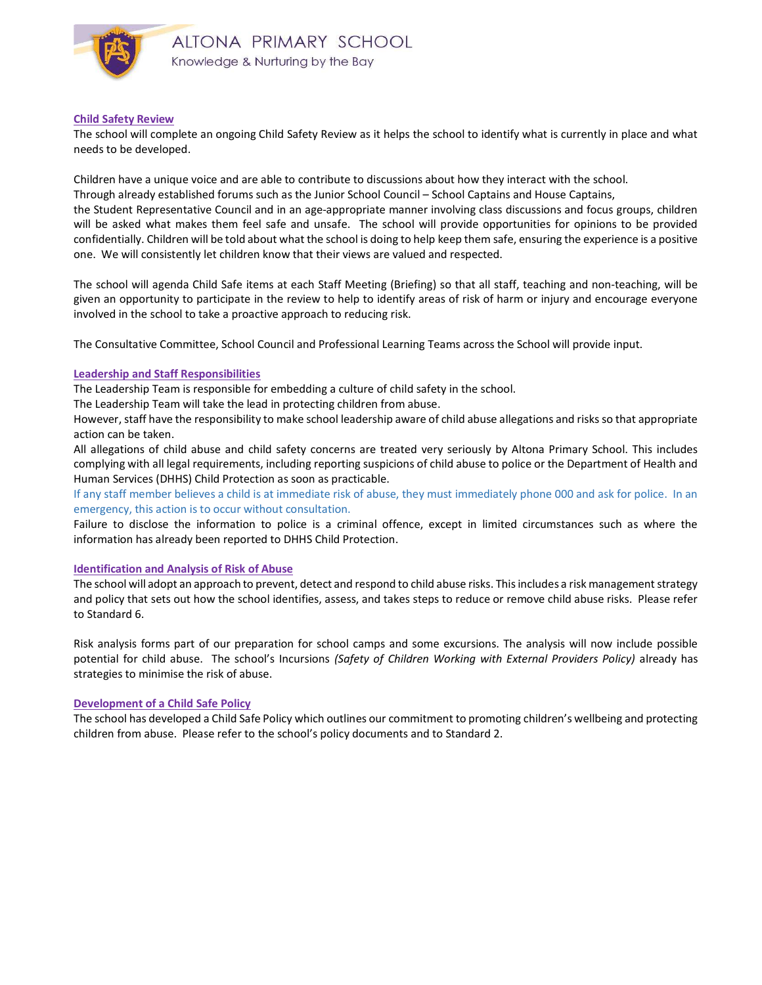

#### Child Safety Review

The school will complete an ongoing Child Safety Review as it helps the school to identify what is currently in place and what needs to be developed.

Children have a unique voice and are able to contribute to discussions about how they interact with the school.

Through already established forums such as the Junior School Council – School Captains and House Captains,

the Student Representative Council and in an age-appropriate manner involving class discussions and focus groups, children will be asked what makes them feel safe and unsafe. The school will provide opportunities for opinions to be provided confidentially. Children will be told about what the school is doing to help keep them safe, ensuring the experience is a positive one. We will consistently let children know that their views are valued and respected.

The school will agenda Child Safe items at each Staff Meeting (Briefing) so that all staff, teaching and non-teaching, will be given an opportunity to participate in the review to help to identify areas of risk of harm or injury and encourage everyone involved in the school to take a proactive approach to reducing risk.

The Consultative Committee, School Council and Professional Learning Teams across the School will provide input.

#### Leadership and Staff Responsibilities

The Leadership Team is responsible for embedding a culture of child safety in the school.

The Leadership Team will take the lead in protecting children from abuse.

However, staff have the responsibility to make school leadership aware of child abuse allegations and risks so that appropriate action can be taken.

All allegations of child abuse and child safety concerns are treated very seriously by Altona Primary School. This includes complying with all legal requirements, including reporting suspicions of child abuse to police or the Department of Health and Human Services (DHHS) Child Protection as soon as practicable.

If any staff member believes a child is at immediate risk of abuse, they must immediately phone 000 and ask for police. In an emergency, this action is to occur without consultation.

Failure to disclose the information to police is a criminal offence, except in limited circumstances such as where the information has already been reported to DHHS Child Protection.

#### Identification and Analysis of Risk of Abuse

The school will adopt an approach to prevent, detect and respond to child abuse risks. This includes a risk management strategy and policy that sets out how the school identifies, assess, and takes steps to reduce or remove child abuse risks. Please refer to Standard 6.

Risk analysis forms part of our preparation for school camps and some excursions. The analysis will now include possible potential for child abuse. The school's Incursions (Safety of Children Working with External Providers Policy) already has strategies to minimise the risk of abuse.

#### Development of a Child Safe Policy

The school has developed a Child Safe Policy which outlines our commitment to promoting children's wellbeing and protecting children from abuse. Please refer to the school's policy documents and to Standard 2.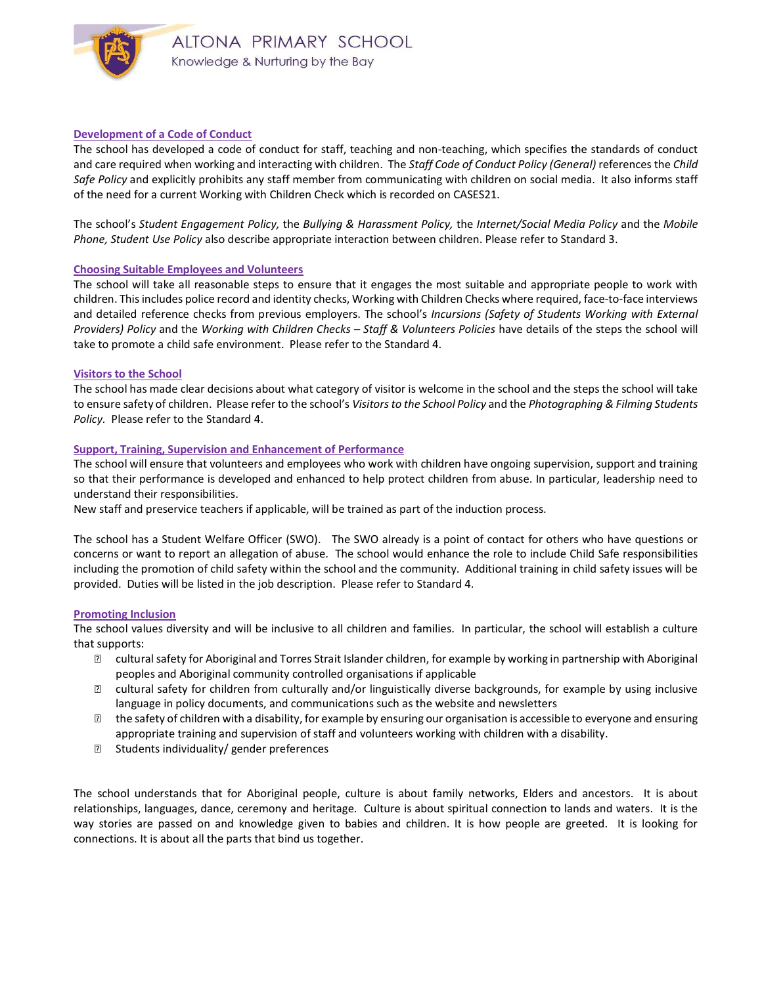

### Development of a Code of Conduct

The school has developed a code of conduct for staff, teaching and non-teaching, which specifies the standards of conduct and care required when working and interacting with children. The Staff Code of Conduct Policy (General) references the Child Safe Policy and explicitly prohibits any staff member from communicating with children on social media. It also informs staff of the need for a current Working with Children Check which is recorded on CASES21.

The school's Student Engagement Policy, the Bullying & Harassment Policy, the Internet/Social Media Policy and the Mobile Phone, Student Use Policy also describe appropriate interaction between children. Please refer to Standard 3.

#### Choosing Suitable Employees and Volunteers

The school will take all reasonable steps to ensure that it engages the most suitable and appropriate people to work with children. This includes police record and identity checks, Working with Children Checks where required, face-to-face interviews and detailed reference checks from previous employers. The school's Incursions (Safety of Students Working with External Providers) Policy and the Working with Children Checks - Staff & Volunteers Policies have details of the steps the school will take to promote a child safe environment. Please refer to the Standard 4.

#### Visitors to the School

The school has made clear decisions about what category of visitor is welcome in the school and the steps the school will take to ensure safety of children. Please refer to the school's Visitors to the School Policy and the Photographing & Filming Students Policy. Please refer to the Standard 4.

#### Support, Training, Supervision and Enhancement of Performance

The school will ensure that volunteers and employees who work with children have ongoing supervision, support and training so that their performance is developed and enhanced to help protect children from abuse. In particular, leadership need to understand their responsibilities.

New staff and preservice teachers if applicable, will be trained as part of the induction process.

The school has a Student Welfare Officer (SWO). The SWO already is a point of contact for others who have questions or concerns or want to report an allegation of abuse. The school would enhance the role to include Child Safe responsibilities including the promotion of child safety within the school and the community. Additional training in child safety issues will be provided. Duties will be listed in the job description. Please refer to Standard 4.

#### Promoting Inclusion

The school values diversity and will be inclusive to all children and families. In particular, the school will establish a culture that supports:

- ⋅ cultural safety for Aboriginal and Torres Strait Islander children, for example by working in partnership with Aboriginal peoples and Aboriginal community controlled organisations if applicable
- ⋅ cultural safety for children from culturally and/or linguistically diverse backgrounds, for example by using inclusive language in policy documents, and communications such as the website and newsletters
- ⋅ the safety of children with a disability, for example by ensuring our organisation is accessible to everyone and ensuring appropriate training and supervision of staff and volunteers working with children with a disability.
- **<b>■** Students individuality/ gender preferences

The school understands that for Aboriginal people, culture is about family networks, Elders and ancestors. It is about relationships, languages, dance, ceremony and heritage. Culture is about spiritual connection to lands and waters. It is the way stories are passed on and knowledge given to babies and children. It is how people are greeted. It is looking for connections. It is about all the parts that bind us together.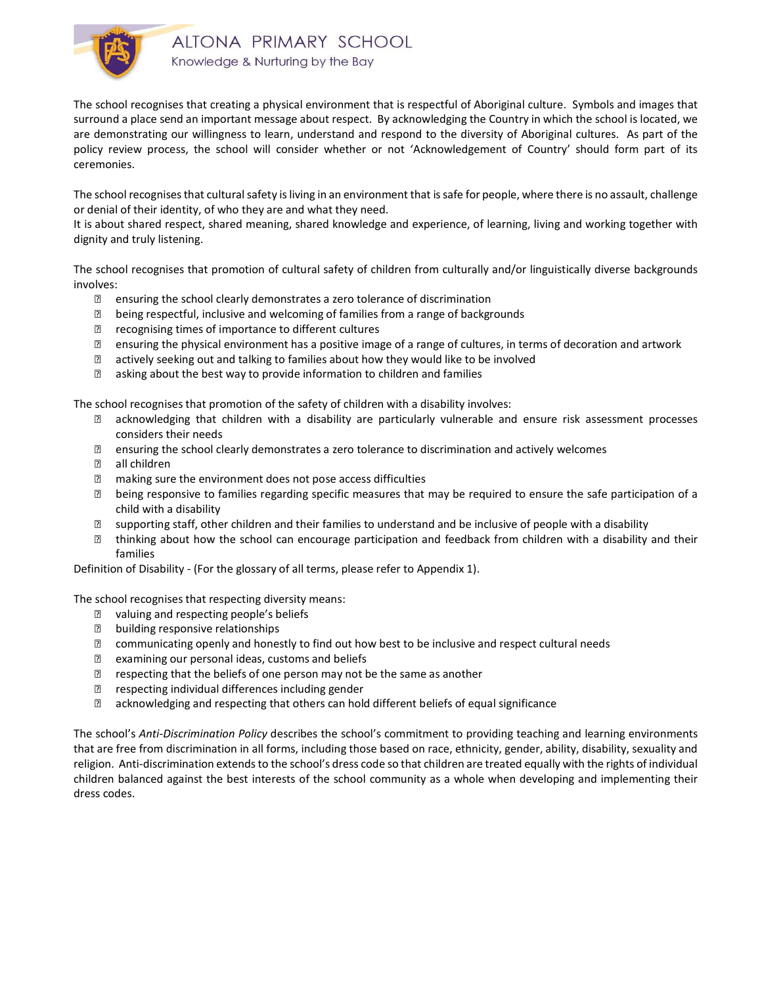

The school recognises that creating a physical environment that is respectful of Aboriginal culture. Symbols and images that surround a place send an important message about respect. By acknowledging the Country in which the school is located, we are demonstrating our willingness to learn, understand and respond to the diversity of Aboriginal cultures. As part of the policy review process, the school will consider whether or not 'Acknowledgement of Country' should form part of its ceremonies.

The school recognises that cultural safety is living in an environment that is safe for people, where there is no assault, challenge or denial of their identity, of who they are and what they need.

It is about shared respect, shared meaning, shared knowledge and experience, of learning, living and working together with dignity and truly listening.

The school recognises that promotion of cultural safety of children from culturally and/or linguistically diverse backgrounds involves:

- **■** ensuring the school clearly demonstrates a zero tolerance of discrimination
- ⋅ being respectful, inclusive and welcoming of families from a range of backgrounds
- ⋅ recognising times of importance to different cultures
- ⋅ ensuring the physical environment has a positive image of a range of cultures, in terms of decoration and artwork
- **sqrt** actively seeking out and talking to families about how they would like to be involved
- **■** asking about the best way to provide information to children and families

The school recognises that promotion of the safety of children with a disability involves:

- ⋅ acknowledging that children with a disability are particularly vulnerable and ensure risk assessment processes considers their needs
- ⋅ ensuring the school clearly demonstrates a zero tolerance to discrimination and actively welcomes
- **② all children**
- ⋅ making sure the environment does not pose access difficulties
- ⋅ being responsive to families regarding specific measures that may be required to ensure the safe participation of a child with a disability
- ⋅ supporting staff, other children and their families to understand and be inclusive of people with a disability
- ⋅ thinking about how the school can encourage participation and feedback from children with a disability and their families

Definition of Disability - (For the glossary of all terms, please refer to Appendix 1).

The school recognises that respecting diversity means:

- **sqrt7** valuing and respecting people's beliefs
- ⋅ building responsive relationships
- ⋅ communicating openly and honestly to find out how best to be inclusive and respect cultural needs
- **■** examining our personal ideas, customs and beliefs
- **sqrt{22}** respecting that the beliefs of one person may not be the same as another
- ⋅ respecting individual differences including gender
- ⋅ acknowledging and respecting that others can hold different beliefs of equal significance

The school's Anti-Discrimination Policy describes the school's commitment to providing teaching and learning environments that are free from discrimination in all forms, including those based on race, ethnicity, gender, ability, disability, sexuality and religion. Anti-discrimination extends to the school's dress code so that children are treated equally with the rights of individual children balanced against the best interests of the school community as a whole when developing and implementing their dress codes.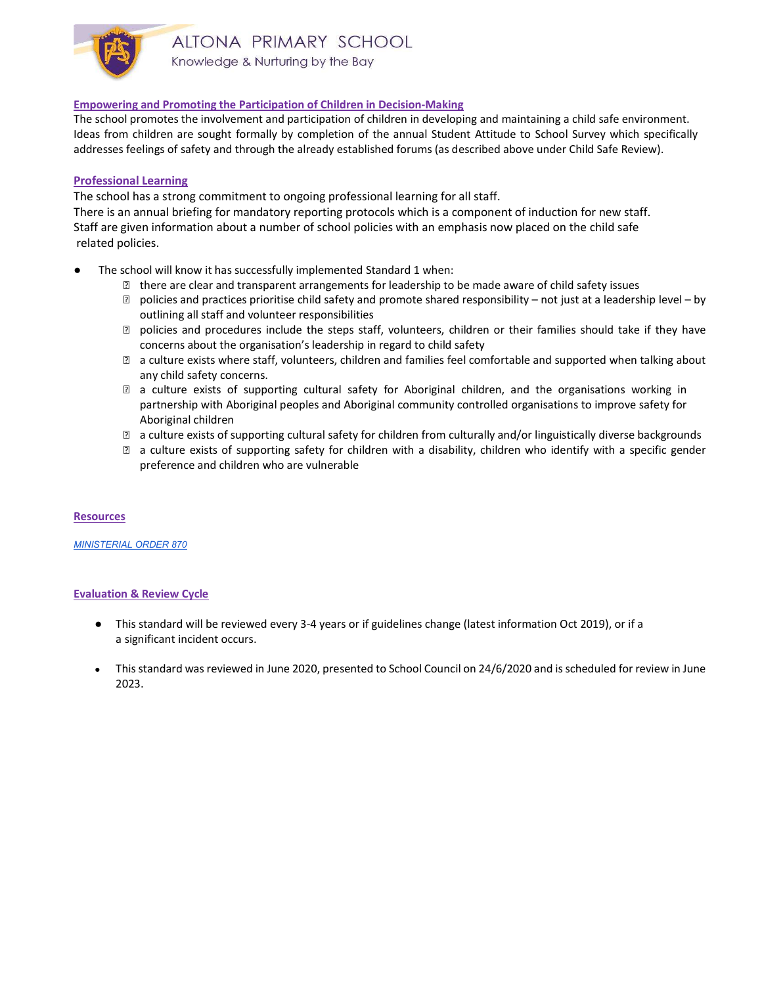

## Empowering and Promoting the Participation of Children in Decision-Making

The school promotes the involvement and participation of children in developing and maintaining a child safe environment. Ideas from children are sought formally by completion of the annual Student Attitude to School Survey which specifically addresses feelings of safety and through the already established forums (as described above under Child Safe Review).

## Professional Learning

The school has a strong commitment to ongoing professional learning for all staff.

There is an annual briefing for mandatory reporting protocols which is a component of induction for new staff. Staff are given information about a number of school policies with an emphasis now placed on the child safe related policies.

- The school will know it has successfully implemented Standard 1 when:
	- ⋅ there are clear and transparent arrangements for leadership to be made aware of child safety issues
	- ⋅ policies and practices prioritise child safety and promote shared responsibility not just at a leadership level by outlining all staff and volunteer responsibilities
	- ⋅ policies and procedures include the steps staff, volunteers, children or their families should take if they have concerns about the organisation's leadership in regard to child safety
	- ⋅ a culture exists where staff, volunteers, children and families feel comfortable and supported when talking about any child safety concerns.
	- ⋅ a culture exists of supporting cultural safety for Aboriginal children, and the organisations working in partnership with Aboriginal peoples and Aboriginal community controlled organisations to improve safety for Aboriginal children
	- ⋅ a culture exists of supporting cultural safety for children from culturally and/or linguistically diverse backgrounds
	- ⋅ a culture exists of supporting safety for children with a disability, children who identify with a specific gender preference and children who are vulnerable

## **Resources**

#### MINISTERIAL ORDER 870

## Evaluation & Review Cycle

- This standard will be reviewed every 3-4 years or if guidelines change (latest information Oct 2019), or if a a significant incident occurs.
- This standard was reviewed in June 2020, presented to School Council on 24/6/2020 and is scheduled for review in June 2023.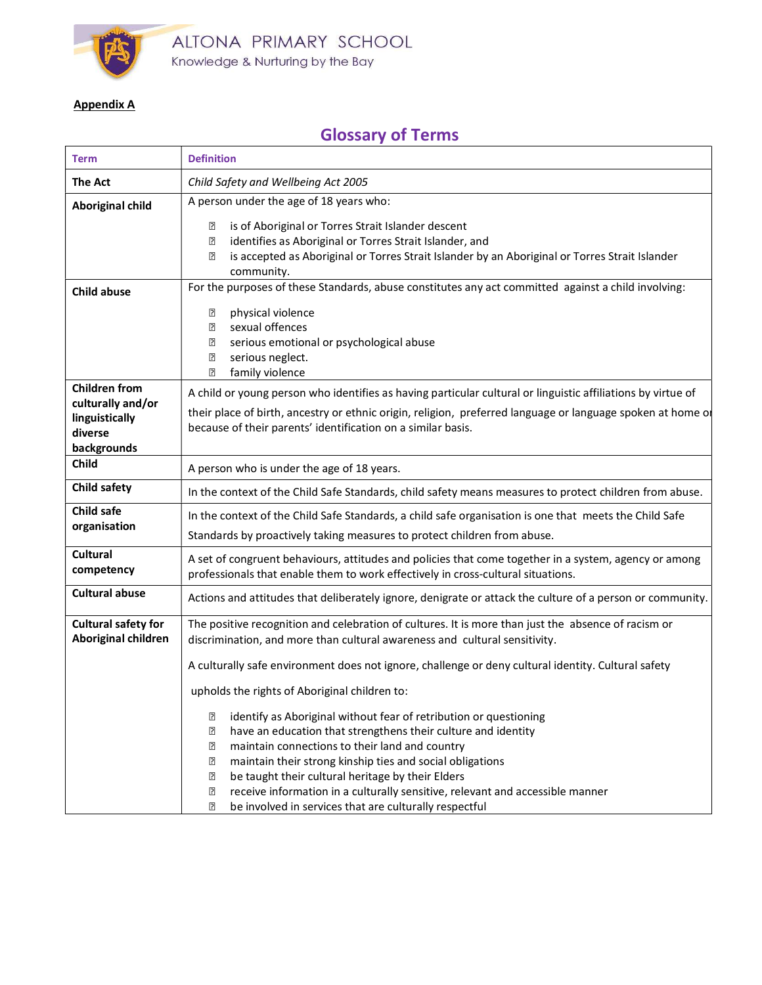

## Appendix A

 $\top$ 

 $\Gamma$ 

# Glossary of Terms

 $\overline{\phantom{0}}$ 

| <b>Term</b>                                                   | <b>Definition</b>                                                                                                                                                                                                                                                                                                                                                                                                                                                                                                                                                   |
|---------------------------------------------------------------|---------------------------------------------------------------------------------------------------------------------------------------------------------------------------------------------------------------------------------------------------------------------------------------------------------------------------------------------------------------------------------------------------------------------------------------------------------------------------------------------------------------------------------------------------------------------|
| <b>The Act</b>                                                | Child Safety and Wellbeing Act 2005                                                                                                                                                                                                                                                                                                                                                                                                                                                                                                                                 |
| <b>Aboriginal child</b>                                       | A person under the age of 18 years who:                                                                                                                                                                                                                                                                                                                                                                                                                                                                                                                             |
|                                                               | is of Aboriginal or Torres Strait Islander descent<br>₽<br>identifies as Aboriginal or Torres Strait Islander, and<br>[?]<br>is accepted as Aboriginal or Torres Strait Islander by an Aboriginal or Torres Strait Islander<br>[?]<br>community.                                                                                                                                                                                                                                                                                                                    |
| <b>Child abuse</b>                                            | For the purposes of these Standards, abuse constitutes any act committed against a child involving:                                                                                                                                                                                                                                                                                                                                                                                                                                                                 |
|                                                               | $\overline{2}$<br>physical violence<br>sexual offences<br>[?]<br>serious emotional or psychological abuse<br>$\overline{2}$<br>serious neglect.<br>$\overline{2}$<br>family violence<br>$\boxed{2}$                                                                                                                                                                                                                                                                                                                                                                 |
| <b>Children from</b>                                          | A child or young person who identifies as having particular cultural or linguistic affiliations by virtue of                                                                                                                                                                                                                                                                                                                                                                                                                                                        |
| culturally and/or<br>linguistically<br>diverse<br>backgrounds | their place of birth, ancestry or ethnic origin, religion, preferred language or language spoken at home or<br>because of their parents' identification on a similar basis.                                                                                                                                                                                                                                                                                                                                                                                         |
| Child                                                         | A person who is under the age of 18 years.                                                                                                                                                                                                                                                                                                                                                                                                                                                                                                                          |
| Child safety                                                  | In the context of the Child Safe Standards, child safety means measures to protect children from abuse.                                                                                                                                                                                                                                                                                                                                                                                                                                                             |
| Child safe<br>organisation                                    | In the context of the Child Safe Standards, a child safe organisation is one that meets the Child Safe<br>Standards by proactively taking measures to protect children from abuse.                                                                                                                                                                                                                                                                                                                                                                                  |
| <b>Cultural</b><br>competency                                 | A set of congruent behaviours, attitudes and policies that come together in a system, agency or among<br>professionals that enable them to work effectively in cross-cultural situations.                                                                                                                                                                                                                                                                                                                                                                           |
| <b>Cultural abuse</b>                                         | Actions and attitudes that deliberately ignore, denigrate or attack the culture of a person or community.                                                                                                                                                                                                                                                                                                                                                                                                                                                           |
| <b>Cultural safety for</b><br>Aboriginal children             | The positive recognition and celebration of cultures. It is more than just the absence of racism or<br>discrimination, and more than cultural awareness and cultural sensitivity.                                                                                                                                                                                                                                                                                                                                                                                   |
|                                                               | A culturally safe environment does not ignore, challenge or deny cultural identity. Cultural safety                                                                                                                                                                                                                                                                                                                                                                                                                                                                 |
|                                                               | upholds the rights of Aboriginal children to:                                                                                                                                                                                                                                                                                                                                                                                                                                                                                                                       |
|                                                               | identify as Aboriginal without fear of retribution or questioning<br>[?<br>have an education that strengthens their culture and identity<br>$\overline{2}$<br>maintain connections to their land and country<br>$\overline{2}$<br>maintain their strong kinship ties and social obligations<br>$\overline{2}$<br>be taught their cultural heritage by their Elders<br>$\overline{2}$<br>receive information in a culturally sensitive, relevant and accessible manner<br>$\overline{2}$<br>be involved in services that are culturally respectful<br>$\overline{2}$ |